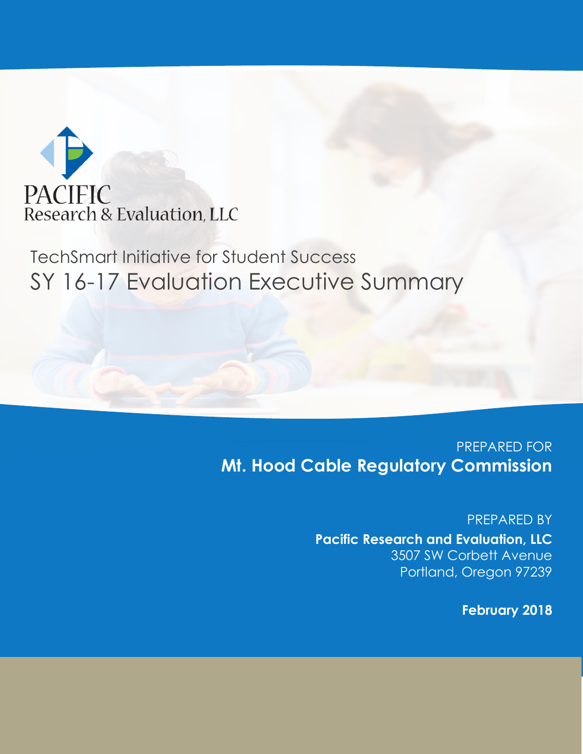

# TechSmart Initiative for Student Success SY 16-17 Evaluation Executive Summary

### PREPARED FOR **Mt. Hood Cable Regulatory Commission**

PREPARED BY **Pacific Research and Evaluation, LLC** 3507 SW Corbett Avenue Portland, Oregon 97239

**February 2018**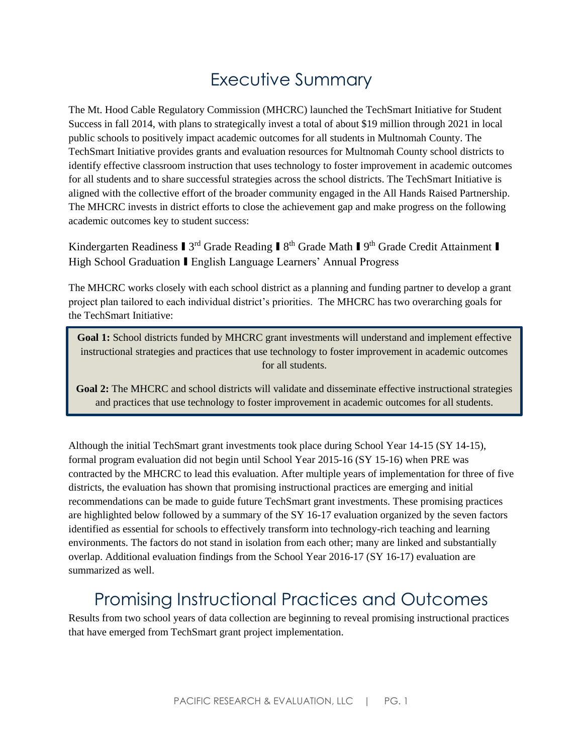# Executive Summary

The Mt. Hood Cable Regulatory Commission (MHCRC) launched the TechSmart Initiative for Student Success in fall 2014, with plans to strategically invest a total of about \$19 million through 2021 in local public schools to positively impact academic outcomes for all students in Multnomah County. The TechSmart Initiative provides grants and evaluation resources for Multnomah County school districts to identify effective classroom instruction that uses technology to foster improvement in academic outcomes for all students and to share successful strategies across the school districts. The TechSmart Initiative is aligned with the collective effort of the broader community engaged in the All Hands Raised Partnership. The MHCRC invests in district efforts to close the achievement gap and make progress on the following academic outcomes key to student success:

Kindergarten Readiness I 3<sup>rd</sup> Grade Reading I 8<sup>th</sup> Grade Math I 9<sup>th</sup> Grade Credit Attainment I High School Graduation I English Language Learners' Annual Progress

The MHCRC works closely with each school district as a planning and funding partner to develop a grant project plan tailored to each individual district's priorities. The MHCRC has two overarching goals for the TechSmart Initiative:

**Goal 1:** School districts funded by MHCRC grant investments will understand and implement effective instructional strategies and practices that use technology to foster improvement in academic outcomes for all students.

**Goal 2:** The MHCRC and school districts will validate and disseminate effective instructional strategies and practices that use technology to foster improvement in academic outcomes for all students.

Although the initial TechSmart grant investments took place during School Year 14-15 (SY 14-15), formal program evaluation did not begin until School Year 2015-16 (SY 15-16) when PRE was contracted by the MHCRC to lead this evaluation. After multiple years of implementation for three of five districts, the evaluation has shown that promising instructional practices are emerging and initial recommendations can be made to guide future TechSmart grant investments. These promising practices are highlighted below followed by a summary of the SY 16-17 evaluation organized by the seven factors identified as essential for schools to effectively transform into technology-rich teaching and learning environments. The factors do not stand in isolation from each other; many are linked and substantially overlap. Additional evaluation findings from the School Year 2016-17 (SY 16-17) evaluation are summarized as well.

## Promising Instructional Practices and Outcomes

Results from two school years of data collection are beginning to reveal promising instructional practices that have emerged from TechSmart grant project implementation.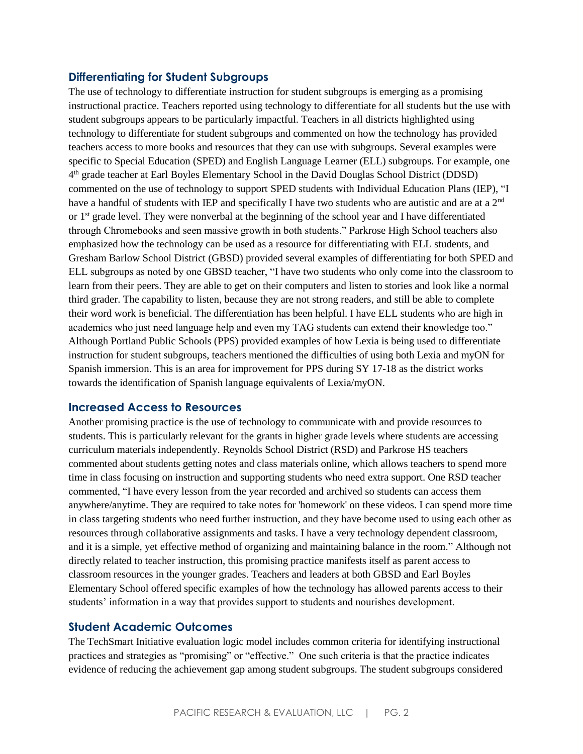#### **Differentiating for Student Subgroups**

The use of technology to differentiate instruction for student subgroups is emerging as a promising instructional practice. Teachers reported using technology to differentiate for all students but the use with student subgroups appears to be particularly impactful. Teachers in all districts highlighted using technology to differentiate for student subgroups and commented on how the technology has provided teachers access to more books and resources that they can use with subgroups. Several examples were specific to Special Education (SPED) and English Language Learner (ELL) subgroups. For example, one 4<sup>th</sup> grade teacher at Earl Boyles Elementary School in the David Douglas School District (DDSD) commented on the use of technology to support SPED students with Individual Education Plans (IEP), "I have a handful of students with IEP and specifically I have two students who are autistic and are at a 2<sup>nd</sup> or  $1<sup>st</sup>$  grade level. They were nonverbal at the beginning of the school year and I have differentiated through Chromebooks and seen massive growth in both students." Parkrose High School teachers also emphasized how the technology can be used as a resource for differentiating with ELL students, and Gresham Barlow School District (GBSD) provided several examples of differentiating for both SPED and ELL subgroups as noted by one GBSD teacher, "I have two students who only come into the classroom to learn from their peers. They are able to get on their computers and listen to stories and look like a normal third grader. The capability to listen, because they are not strong readers, and still be able to complete their word work is beneficial. The differentiation has been helpful. I have ELL students who are high in academics who just need language help and even my TAG students can extend their knowledge too." Although Portland Public Schools (PPS) provided examples of how Lexia is being used to differentiate instruction for student subgroups, teachers mentioned the difficulties of using both Lexia and myON for Spanish immersion. This is an area for improvement for PPS during SY 17-18 as the district works towards the identification of Spanish language equivalents of Lexia/myON.

#### **Increased Access to Resources**

Another promising practice is the use of technology to communicate with and provide resources to students. This is particularly relevant for the grants in higher grade levels where students are accessing curriculum materials independently. Reynolds School District (RSD) and Parkrose HS teachers commented about students getting notes and class materials online, which allows teachers to spend more time in class focusing on instruction and supporting students who need extra support. One RSD teacher commented, "I have every lesson from the year recorded and archived so students can access them anywhere/anytime. They are required to take notes for 'homework' on these videos. I can spend more time in class targeting students who need further instruction, and they have become used to using each other as resources through collaborative assignments and tasks. I have a very technology dependent classroom, and it is a simple, yet effective method of organizing and maintaining balance in the room." Although not directly related to teacher instruction, this promising practice manifests itself as parent access to classroom resources in the younger grades. Teachers and leaders at both GBSD and Earl Boyles Elementary School offered specific examples of how the technology has allowed parents access to their students' information in a way that provides support to students and nourishes development.

#### **Student Academic Outcomes**

The TechSmart Initiative evaluation logic model includes common criteria for identifying instructional practices and strategies as "promising" or "effective." One such criteria is that the practice indicates evidence of reducing the achievement gap among student subgroups. The student subgroups considered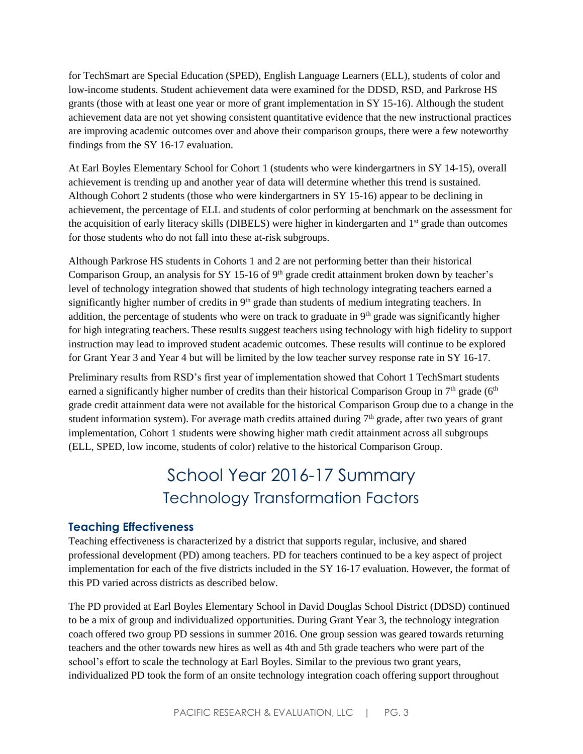for TechSmart are Special Education (SPED), English Language Learners (ELL), students of color and low-income students. Student achievement data were examined for the DDSD, RSD, and Parkrose HS grants (those with at least one year or more of grant implementation in SY 15-16). Although the student achievement data are not yet showing consistent quantitative evidence that the new instructional practices are improving academic outcomes over and above their comparison groups, there were a few noteworthy findings from the SY 16-17 evaluation.

At Earl Boyles Elementary School for Cohort 1 (students who were kindergartners in SY 14-15), overall achievement is trending up and another year of data will determine whether this trend is sustained. Although Cohort 2 students (those who were kindergartners in SY 15-16) appear to be declining in achievement, the percentage of ELL and students of color performing at benchmark on the assessment for the acquisition of early literacy skills (DIBELS) were higher in kindergarten and 1<sup>st</sup> grade than outcomes for those students who do not fall into these at-risk subgroups.

Although Parkrose HS students in Cohorts 1 and 2 are not performing better than their historical Comparison Group, an analysis for SY 15-16 of  $9<sup>th</sup>$  grade credit attainment broken down by teacher's level of technology integration showed that students of high technology integrating teachers earned a significantly higher number of credits in 9<sup>th</sup> grade than students of medium integrating teachers. In addition, the percentage of students who were on track to graduate in  $9<sup>th</sup>$  grade was significantly higher for high integrating teachers. These results suggest teachers using technology with high fidelity to support instruction may lead to improved student academic outcomes. These results will continue to be explored for Grant Year 3 and Year 4 but will be limited by the low teacher survey response rate in SY 16-17.

Preliminary results from RSD's first year of implementation showed that Cohort 1 TechSmart students earned a significantly higher number of credits than their historical Comparison Group in  $7<sup>th</sup>$  grade (6<sup>th</sup>) grade credit attainment data were not available for the historical Comparison Group due to a change in the student information system). For average math credits attained during  $7<sup>th</sup>$  grade, after two years of grant implementation, Cohort 1 students were showing higher math credit attainment across all subgroups (ELL, SPED, low income, students of color) relative to the historical Comparison Group.

## School Year 2016-17 Summary Technology Transformation Factors

#### **Teaching Effectiveness**

Teaching effectiveness is characterized by a district that supports regular, inclusive, and shared professional development (PD) among teachers. PD for teachers continued to be a key aspect of project implementation for each of the five districts included in the SY 16-17 evaluation. However, the format of this PD varied across districts as described below.

The PD provided at Earl Boyles Elementary School in David Douglas School District (DDSD) continued to be a mix of group and individualized opportunities. During Grant Year 3, the technology integration coach offered two group PD sessions in summer 2016. One group session was geared towards returning teachers and the other towards new hires as well as 4th and 5th grade teachers who were part of the school's effort to scale the technology at Earl Boyles. Similar to the previous two grant years, individualized PD took the form of an onsite technology integration coach offering support throughout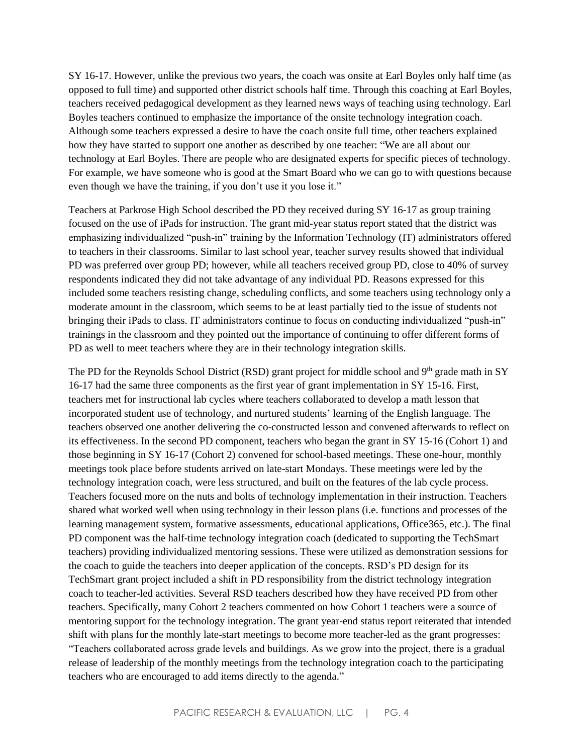SY 16-17. However, unlike the previous two years, the coach was onsite at Earl Boyles only half time (as opposed to full time) and supported other district schools half time. Through this coaching at Earl Boyles, teachers received pedagogical development as they learned news ways of teaching using technology. Earl Boyles teachers continued to emphasize the importance of the onsite technology integration coach. Although some teachers expressed a desire to have the coach onsite full time, other teachers explained how they have started to support one another as described by one teacher: "We are all about our technology at Earl Boyles. There are people who are designated experts for specific pieces of technology. For example, we have someone who is good at the Smart Board who we can go to with questions because even though we have the training, if you don't use it you lose it."

Teachers at Parkrose High School described the PD they received during SY 16-17 as group training focused on the use of iPads for instruction. The grant mid-year status report stated that the district was emphasizing individualized "push-in" training by the Information Technology (IT) administrators offered to teachers in their classrooms. Similar to last school year, teacher survey results showed that individual PD was preferred over group PD; however, while all teachers received group PD, close to 40% of survey respondents indicated they did not take advantage of any individual PD. Reasons expressed for this included some teachers resisting change, scheduling conflicts, and some teachers using technology only a moderate amount in the classroom, which seems to be at least partially tied to the issue of students not bringing their iPads to class. IT administrators continue to focus on conducting individualized "push-in" trainings in the classroom and they pointed out the importance of continuing to offer different forms of PD as well to meet teachers where they are in their technology integration skills.

The PD for the Reynolds School District (RSD) grant project for middle school and 9<sup>th</sup> grade math in SY 16-17 had the same three components as the first year of grant implementation in SY 15-16. First, teachers met for instructional lab cycles where teachers collaborated to develop a math lesson that incorporated student use of technology, and nurtured students' learning of the English language. The teachers observed one another delivering the co-constructed lesson and convened afterwards to reflect on its effectiveness. In the second PD component, teachers who began the grant in SY 15-16 (Cohort 1) and those beginning in SY 16-17 (Cohort 2) convened for school-based meetings. These one-hour, monthly meetings took place before students arrived on late-start Mondays. These meetings were led by the technology integration coach, were less structured, and built on the features of the lab cycle process. Teachers focused more on the nuts and bolts of technology implementation in their instruction. Teachers shared what worked well when using technology in their lesson plans (i.e. functions and processes of the learning management system, formative assessments, educational applications, Office365, etc.). The final PD component was the half-time technology integration coach (dedicated to supporting the TechSmart teachers) providing individualized mentoring sessions. These were utilized as demonstration sessions for the coach to guide the teachers into deeper application of the concepts. RSD's PD design for its TechSmart grant project included a shift in PD responsibility from the district technology integration coach to teacher-led activities. Several RSD teachers described how they have received PD from other teachers. Specifically, many Cohort 2 teachers commented on how Cohort 1 teachers were a source of mentoring support for the technology integration. The grant year-end status report reiterated that intended shift with plans for the monthly late-start meetings to become more teacher-led as the grant progresses: "Teachers collaborated across grade levels and buildings. As we grow into the project, there is a gradual release of leadership of the monthly meetings from the technology integration coach to the participating teachers who are encouraged to add items directly to the agenda."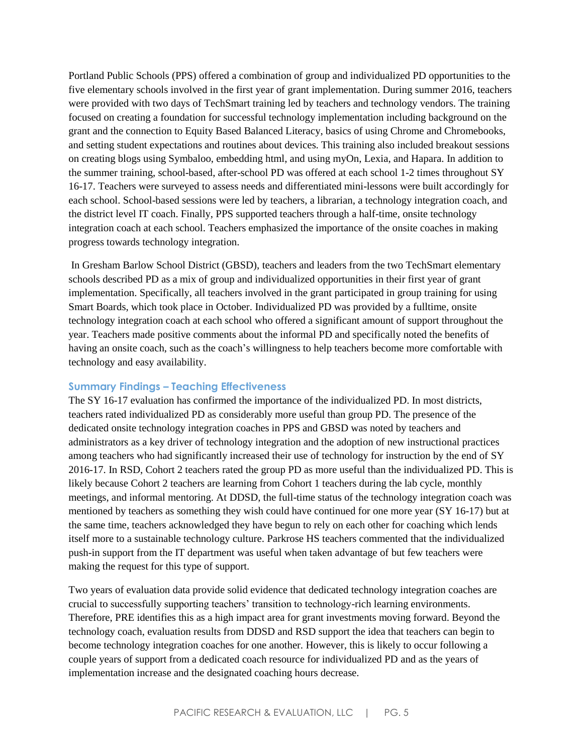Portland Public Schools (PPS) offered a combination of group and individualized PD opportunities to the five elementary schools involved in the first year of grant implementation. During summer 2016, teachers were provided with two days of TechSmart training led by teachers and technology vendors. The training focused on creating a foundation for successful technology implementation including background on the grant and the connection to Equity Based Balanced Literacy, basics of using Chrome and Chromebooks, and setting student expectations and routines about devices. This training also included breakout sessions on creating blogs using Symbaloo, embedding html, and using myOn, Lexia, and Hapara. In addition to the summer training, school-based, after-school PD was offered at each school 1-2 times throughout SY 16-17. Teachers were surveyed to assess needs and differentiated mini-lessons were built accordingly for each school. School-based sessions were led by teachers, a librarian, a technology integration coach, and the district level IT coach. Finally, PPS supported teachers through a half-time, onsite technology integration coach at each school. Teachers emphasized the importance of the onsite coaches in making progress towards technology integration.

In Gresham Barlow School District (GBSD), teachers and leaders from the two TechSmart elementary schools described PD as a mix of group and individualized opportunities in their first year of grant implementation. Specifically, all teachers involved in the grant participated in group training for using Smart Boards, which took place in October. Individualized PD was provided by a fulltime, onsite technology integration coach at each school who offered a significant amount of support throughout the year. Teachers made positive comments about the informal PD and specifically noted the benefits of having an onsite coach, such as the coach's willingness to help teachers become more comfortable with technology and easy availability.

#### **Summary Findings – Teaching Effectiveness**

The SY 16-17 evaluation has confirmed the importance of the individualized PD. In most districts, teachers rated individualized PD as considerably more useful than group PD. The presence of the dedicated onsite technology integration coaches in PPS and GBSD was noted by teachers and administrators as a key driver of technology integration and the adoption of new instructional practices among teachers who had significantly increased their use of technology for instruction by the end of SY 2016-17. In RSD, Cohort 2 teachers rated the group PD as more useful than the individualized PD. This is likely because Cohort 2 teachers are learning from Cohort 1 teachers during the lab cycle, monthly meetings, and informal mentoring. At DDSD, the full-time status of the technology integration coach was mentioned by teachers as something they wish could have continued for one more year (SY 16-17) but at the same time, teachers acknowledged they have begun to rely on each other for coaching which lends itself more to a sustainable technology culture. Parkrose HS teachers commented that the individualized push-in support from the IT department was useful when taken advantage of but few teachers were making the request for this type of support.

Two years of evaluation data provide solid evidence that dedicated technology integration coaches are crucial to successfully supporting teachers' transition to technology-rich learning environments. Therefore, PRE identifies this as a high impact area for grant investments moving forward. Beyond the technology coach, evaluation results from DDSD and RSD support the idea that teachers can begin to become technology integration coaches for one another. However, this is likely to occur following a couple years of support from a dedicated coach resource for individualized PD and as the years of implementation increase and the designated coaching hours decrease.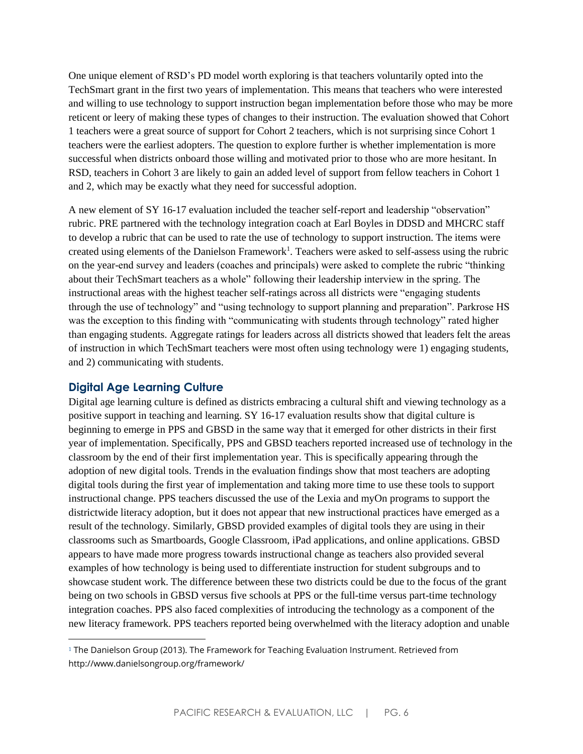One unique element of RSD's PD model worth exploring is that teachers voluntarily opted into the TechSmart grant in the first two years of implementation. This means that teachers who were interested and willing to use technology to support instruction began implementation before those who may be more reticent or leery of making these types of changes to their instruction. The evaluation showed that Cohort 1 teachers were a great source of support for Cohort 2 teachers, which is not surprising since Cohort 1 teachers were the earliest adopters. The question to explore further is whether implementation is more successful when districts onboard those willing and motivated prior to those who are more hesitant. In RSD, teachers in Cohort 3 are likely to gain an added level of support from fellow teachers in Cohort 1 and 2, which may be exactly what they need for successful adoption.

A new element of SY 16-17 evaluation included the teacher self-report and leadership "observation" rubric. PRE partnered with the technology integration coach at Earl Boyles in DDSD and MHCRC staff to develop a rubric that can be used to rate the use of technology to support instruction. The items were created using elements of the Danielson Framework<sup>1</sup>. Teachers were asked to self-assess using the rubric on the year-end survey and leaders (coaches and principals) were asked to complete the rubric "thinking about their TechSmart teachers as a whole" following their leadership interview in the spring. The instructional areas with the highest teacher self-ratings across all districts were "engaging students through the use of technology" and "using technology to support planning and preparation". Parkrose HS was the exception to this finding with "communicating with students through technology" rated higher than engaging students. Aggregate ratings for leaders across all districts showed that leaders felt the areas of instruction in which TechSmart teachers were most often using technology were 1) engaging students, and 2) communicating with students.

#### **Digital Age Learning Culture**

 $\overline{\phantom{a}}$ 

Digital age learning culture is defined as districts embracing a cultural shift and viewing technology as a positive support in teaching and learning. SY 16-17 evaluation results show that digital culture is beginning to emerge in PPS and GBSD in the same way that it emerged for other districts in their first year of implementation. Specifically, PPS and GBSD teachers reported increased use of technology in the classroom by the end of their first implementation year. This is specifically appearing through the adoption of new digital tools. Trends in the evaluation findings show that most teachers are adopting digital tools during the first year of implementation and taking more time to use these tools to support instructional change. PPS teachers discussed the use of the Lexia and myOn programs to support the districtwide literacy adoption, but it does not appear that new instructional practices have emerged as a result of the technology. Similarly, GBSD provided examples of digital tools they are using in their classrooms such as Smartboards, Google Classroom, iPad applications, and online applications. GBSD appears to have made more progress towards instructional change as teachers also provided several examples of how technology is being used to differentiate instruction for student subgroups and to showcase student work. The difference between these two districts could be due to the focus of the grant being on two schools in GBSD versus five schools at PPS or the full-time versus part-time technology integration coaches. PPS also faced complexities of introducing the technology as a component of the new literacy framework. PPS teachers reported being overwhelmed with the literacy adoption and unable

<sup>1</sup> The Danielson Group (2013). The Framework for Teaching Evaluation Instrument. Retrieved from http://www.danielsongroup.org/framework/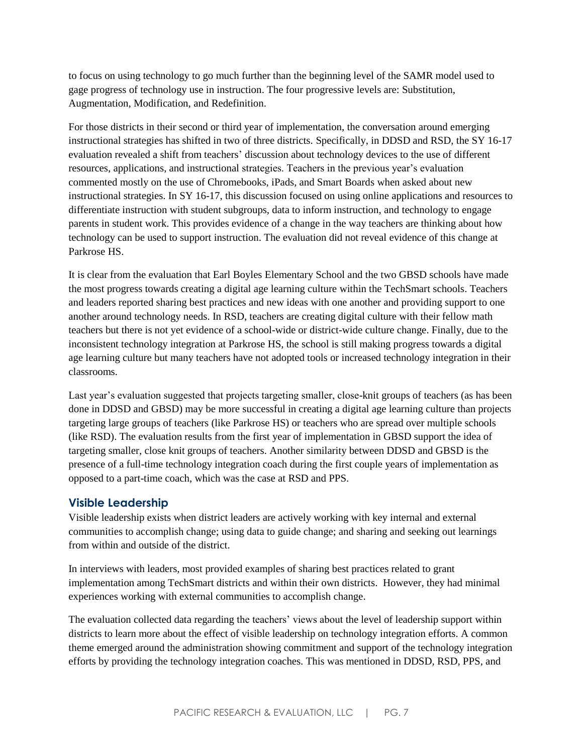to focus on using technology to go much further than the beginning level of the SAMR model used to gage progress of technology use in instruction. The four progressive levels are: Substitution, Augmentation, Modification, and Redefinition.

For those districts in their second or third year of implementation, the conversation around emerging instructional strategies has shifted in two of three districts. Specifically, in DDSD and RSD, the SY 16-17 evaluation revealed a shift from teachers' discussion about technology devices to the use of different resources, applications, and instructional strategies. Teachers in the previous year's evaluation commented mostly on the use of Chromebooks, iPads, and Smart Boards when asked about new instructional strategies. In SY 16-17, this discussion focused on using online applications and resources to differentiate instruction with student subgroups, data to inform instruction, and technology to engage parents in student work. This provides evidence of a change in the way teachers are thinking about how technology can be used to support instruction. The evaluation did not reveal evidence of this change at Parkrose HS.

It is clear from the evaluation that Earl Boyles Elementary School and the two GBSD schools have made the most progress towards creating a digital age learning culture within the TechSmart schools. Teachers and leaders reported sharing best practices and new ideas with one another and providing support to one another around technology needs. In RSD, teachers are creating digital culture with their fellow math teachers but there is not yet evidence of a school-wide or district-wide culture change. Finally, due to the inconsistent technology integration at Parkrose HS, the school is still making progress towards a digital age learning culture but many teachers have not adopted tools or increased technology integration in their classrooms.

Last year's evaluation suggested that projects targeting smaller, close-knit groups of teachers (as has been done in DDSD and GBSD) may be more successful in creating a digital age learning culture than projects targeting large groups of teachers (like Parkrose HS) or teachers who are spread over multiple schools (like RSD). The evaluation results from the first year of implementation in GBSD support the idea of targeting smaller, close knit groups of teachers. Another similarity between DDSD and GBSD is the presence of a full-time technology integration coach during the first couple years of implementation as opposed to a part-time coach, which was the case at RSD and PPS.

#### **Visible Leadership**

Visible leadership exists when district leaders are actively working with key internal and external communities to accomplish change; using data to guide change; and sharing and seeking out learnings from within and outside of the district.

In interviews with leaders, most provided examples of sharing best practices related to grant implementation among TechSmart districts and within their own districts. However, they had minimal experiences working with external communities to accomplish change.

The evaluation collected data regarding the teachers' views about the level of leadership support within districts to learn more about the effect of visible leadership on technology integration efforts. A common theme emerged around the administration showing commitment and support of the technology integration efforts by providing the technology integration coaches. This was mentioned in DDSD, RSD, PPS, and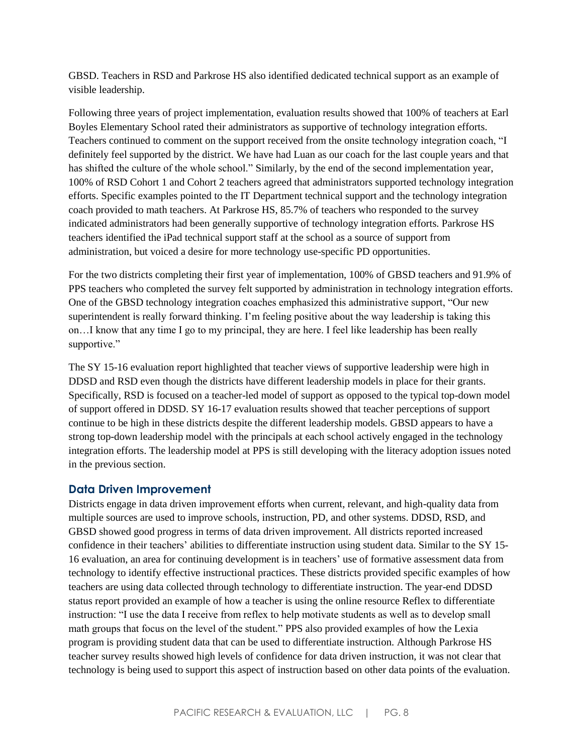GBSD. Teachers in RSD and Parkrose HS also identified dedicated technical support as an example of visible leadership.

Following three years of project implementation, evaluation results showed that 100% of teachers at Earl Boyles Elementary School rated their administrators as supportive of technology integration efforts. Teachers continued to comment on the support received from the onsite technology integration coach, "I definitely feel supported by the district. We have had Luan as our coach for the last couple years and that has shifted the culture of the whole school." Similarly, by the end of the second implementation year, 100% of RSD Cohort 1 and Cohort 2 teachers agreed that administrators supported technology integration efforts. Specific examples pointed to the IT Department technical support and the technology integration coach provided to math teachers. At Parkrose HS, 85.7% of teachers who responded to the survey indicated administrators had been generally supportive of technology integration efforts. Parkrose HS teachers identified the iPad technical support staff at the school as a source of support from administration, but voiced a desire for more technology use-specific PD opportunities.

For the two districts completing their first year of implementation, 100% of GBSD teachers and 91.9% of PPS teachers who completed the survey felt supported by administration in technology integration efforts. One of the GBSD technology integration coaches emphasized this administrative support, "Our new superintendent is really forward thinking. I'm feeling positive about the way leadership is taking this on…I know that any time I go to my principal, they are here. I feel like leadership has been really supportive."

The SY 15-16 evaluation report highlighted that teacher views of supportive leadership were high in DDSD and RSD even though the districts have different leadership models in place for their grants. Specifically, RSD is focused on a teacher-led model of support as opposed to the typical top-down model of support offered in DDSD. SY 16-17 evaluation results showed that teacher perceptions of support continue to be high in these districts despite the different leadership models. GBSD appears to have a strong top-down leadership model with the principals at each school actively engaged in the technology integration efforts. The leadership model at PPS is still developing with the literacy adoption issues noted in the previous section.

#### **Data Driven Improvement**

Districts engage in data driven improvement efforts when current, relevant, and high-quality data from multiple sources are used to improve schools, instruction, PD, and other systems. DDSD, RSD, and GBSD showed good progress in terms of data driven improvement. All districts reported increased confidence in their teachers' abilities to differentiate instruction using student data. Similar to the SY 15- 16 evaluation, an area for continuing development is in teachers' use of formative assessment data from technology to identify effective instructional practices. These districts provided specific examples of how teachers are using data collected through technology to differentiate instruction. The year-end DDSD status report provided an example of how a teacher is using the online resource Reflex to differentiate instruction: "I use the data I receive from reflex to help motivate students as well as to develop small math groups that focus on the level of the student." PPS also provided examples of how the Lexia program is providing student data that can be used to differentiate instruction. Although Parkrose HS teacher survey results showed high levels of confidence for data driven instruction, it was not clear that technology is being used to support this aspect of instruction based on other data points of the evaluation.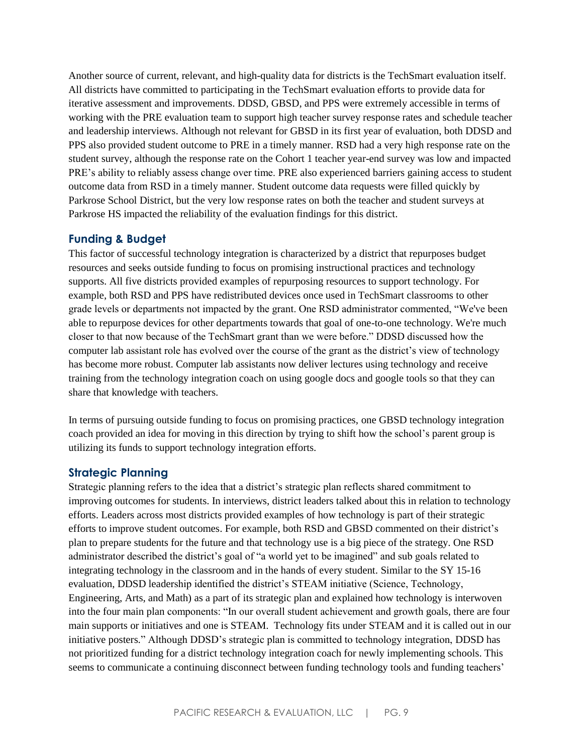Another source of current, relevant, and high-quality data for districts is the TechSmart evaluation itself. All districts have committed to participating in the TechSmart evaluation efforts to provide data for iterative assessment and improvements. DDSD, GBSD, and PPS were extremely accessible in terms of working with the PRE evaluation team to support high teacher survey response rates and schedule teacher and leadership interviews. Although not relevant for GBSD in its first year of evaluation, both DDSD and PPS also provided student outcome to PRE in a timely manner. RSD had a very high response rate on the student survey, although the response rate on the Cohort 1 teacher year-end survey was low and impacted PRE's ability to reliably assess change over time. PRE also experienced barriers gaining access to student outcome data from RSD in a timely manner. Student outcome data requests were filled quickly by Parkrose School District, but the very low response rates on both the teacher and student surveys at Parkrose HS impacted the reliability of the evaluation findings for this district.

#### **Funding & Budget**

This factor of successful technology integration is characterized by a district that repurposes budget resources and seeks outside funding to focus on promising instructional practices and technology supports. All five districts provided examples of repurposing resources to support technology. For example, both RSD and PPS have redistributed devices once used in TechSmart classrooms to other grade levels or departments not impacted by the grant. One RSD administrator commented, "We've been able to repurpose devices for other departments towards that goal of one-to-one technology. We're much closer to that now because of the TechSmart grant than we were before." DDSD discussed how the computer lab assistant role has evolved over the course of the grant as the district's view of technology has become more robust. Computer lab assistants now deliver lectures using technology and receive training from the technology integration coach on using google docs and google tools so that they can share that knowledge with teachers.

In terms of pursuing outside funding to focus on promising practices, one GBSD technology integration coach provided an idea for moving in this direction by trying to shift how the school's parent group is utilizing its funds to support technology integration efforts.

#### **Strategic Planning**

Strategic planning refers to the idea that a district's strategic plan reflects shared commitment to improving outcomes for students. In interviews, district leaders talked about this in relation to technology efforts. Leaders across most districts provided examples of how technology is part of their strategic efforts to improve student outcomes. For example, both RSD and GBSD commented on their district's plan to prepare students for the future and that technology use is a big piece of the strategy. One RSD administrator described the district's goal of "a world yet to be imagined" and sub goals related to integrating technology in the classroom and in the hands of every student. Similar to the SY 15-16 evaluation, DDSD leadership identified the district's STEAM initiative (Science, Technology, Engineering, Arts, and Math) as a part of its strategic plan and explained how technology is interwoven into the four main plan components: "In our overall student achievement and growth goals, there are four main supports or initiatives and one is STEAM. Technology fits under STEAM and it is called out in our initiative posters." Although DDSD's strategic plan is committed to technology integration, DDSD has not prioritized funding for a district technology integration coach for newly implementing schools. This seems to communicate a continuing disconnect between funding technology tools and funding teachers'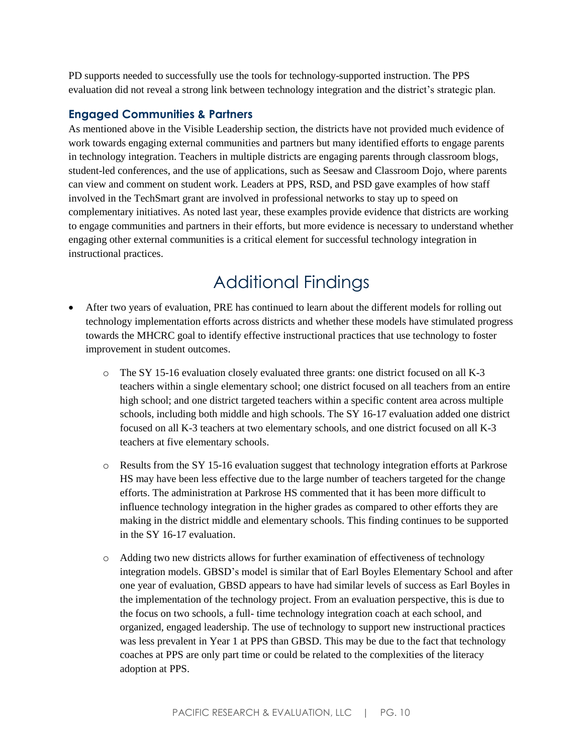PD supports needed to successfully use the tools for technology-supported instruction. The PPS evaluation did not reveal a strong link between technology integration and the district's strategic plan.

#### **Engaged Communities & Partners**

As mentioned above in the Visible Leadership section, the districts have not provided much evidence of work towards engaging external communities and partners but many identified efforts to engage parents in technology integration. Teachers in multiple districts are engaging parents through classroom blogs, student-led conferences, and the use of applications, such as Seesaw and Classroom Dojo, where parents can view and comment on student work. Leaders at PPS, RSD, and PSD gave examples of how staff involved in the TechSmart grant are involved in professional networks to stay up to speed on complementary initiatives. As noted last year, these examples provide evidence that districts are working to engage communities and partners in their efforts, but more evidence is necessary to understand whether engaging other external communities is a critical element for successful technology integration in instructional practices.

### Additional Findings

- After two years of evaluation, PRE has continued to learn about the different models for rolling out technology implementation efforts across districts and whether these models have stimulated progress towards the MHCRC goal to identify effective instructional practices that use technology to foster improvement in student outcomes.
	- o The SY 15-16 evaluation closely evaluated three grants: one district focused on all K-3 teachers within a single elementary school; one district focused on all teachers from an entire high school; and one district targeted teachers within a specific content area across multiple schools, including both middle and high schools. The SY 16-17 evaluation added one district focused on all K-3 teachers at two elementary schools, and one district focused on all K-3 teachers at five elementary schools.
	- o Results from the SY 15-16 evaluation suggest that technology integration efforts at Parkrose HS may have been less effective due to the large number of teachers targeted for the change efforts. The administration at Parkrose HS commented that it has been more difficult to influence technology integration in the higher grades as compared to other efforts they are making in the district middle and elementary schools. This finding continues to be supported in the SY 16-17 evaluation.
	- o Adding two new districts allows for further examination of effectiveness of technology integration models. GBSD's model is similar that of Earl Boyles Elementary School and after one year of evaluation, GBSD appears to have had similar levels of success as Earl Boyles in the implementation of the technology project. From an evaluation perspective, this is due to the focus on two schools, a full- time technology integration coach at each school, and organized, engaged leadership. The use of technology to support new instructional practices was less prevalent in Year 1 at PPS than GBSD. This may be due to the fact that technology coaches at PPS are only part time or could be related to the complexities of the literacy adoption at PPS.